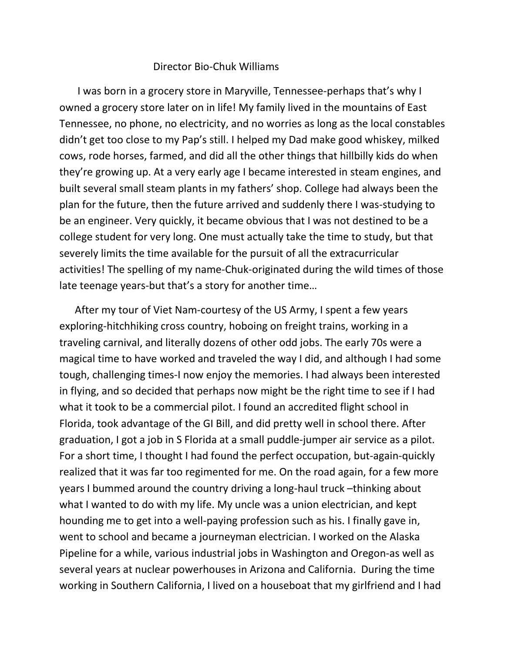## Director Bio-Chuk Williams

 I was born in a grocery store in Maryville, Tennessee-perhaps that's why I owned a grocery store later on in life! My family lived in the mountains of East Tennessee, no phone, no electricity, and no worries as long as the local constables didn't get too close to my Pap's still. I helped my Dad make good whiskey, milked cows, rode horses, farmed, and did all the other things that hillbilly kids do when they're growing up. At a very early age I became interested in steam engines, and built several small steam plants in my fathers' shop. College had always been the plan for the future, then the future arrived and suddenly there I was-studying to be an engineer. Very quickly, it became obvious that I was not destined to be a college student for very long. One must actually take the time to study, but that severely limits the time available for the pursuit of all the extracurricular activities! The spelling of my name-Chuk-originated during the wild times of those late teenage years-but that's a story for another time…

 After my tour of Viet Nam-courtesy of the US Army, I spent a few years exploring-hitchhiking cross country, hoboing on freight trains, working in a traveling carnival, and literally dozens of other odd jobs. The early 70s were a magical time to have worked and traveled the way I did, and although I had some tough, challenging times-I now enjoy the memories. I had always been interested in flying, and so decided that perhaps now might be the right time to see if I had what it took to be a commercial pilot. I found an accredited flight school in Florida, took advantage of the GI Bill, and did pretty well in school there. After graduation, I got a job in S Florida at a small puddle-jumper air service as a pilot. For a short time, I thought I had found the perfect occupation, but-again-quickly realized that it was far too regimented for me. On the road again, for a few more years I bummed around the country driving a long-haul truck –thinking about what I wanted to do with my life. My uncle was a union electrician, and kept hounding me to get into a well-paying profession such as his. I finally gave in, went to school and became a journeyman electrician. I worked on the Alaska Pipeline for a while, various industrial jobs in Washington and Oregon-as well as several years at nuclear powerhouses in Arizona and California. During the time working in Southern California, I lived on a houseboat that my girlfriend and I had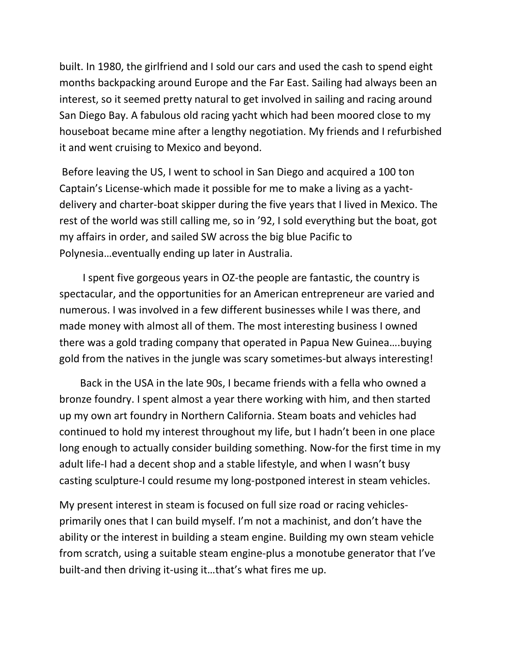built. In 1980, the girlfriend and I sold our cars and used the cash to spend eight months backpacking around Europe and the Far East. Sailing had always been an interest, so it seemed pretty natural to get involved in sailing and racing around San Diego Bay. A fabulous old racing yacht which had been moored close to my houseboat became mine after a lengthy negotiation. My friends and I refurbished it and went cruising to Mexico and beyond.

Before leaving the US, I went to school in San Diego and acquired a 100 ton Captain's License-which made it possible for me to make a living as a yachtdelivery and charter-boat skipper during the five years that I lived in Mexico. The rest of the world was still calling me, so in '92, I sold everything but the boat, got my affairs in order, and sailed SW across the big blue Pacific to Polynesia…eventually ending up later in Australia.

 I spent five gorgeous years in OZ-the people are fantastic, the country is spectacular, and the opportunities for an American entrepreneur are varied and numerous. I was involved in a few different businesses while I was there, and made money with almost all of them. The most interesting business I owned there was a gold trading company that operated in Papua New Guinea….buying gold from the natives in the jungle was scary sometimes-but always interesting!

 Back in the USA in the late 90s, I became friends with a fella who owned a bronze foundry. I spent almost a year there working with him, and then started up my own art foundry in Northern California. Steam boats and vehicles had continued to hold my interest throughout my life, but I hadn't been in one place long enough to actually consider building something. Now-for the first time in my adult life-I had a decent shop and a stable lifestyle, and when I wasn't busy casting sculpture-I could resume my long-postponed interest in steam vehicles.

My present interest in steam is focused on full size road or racing vehiclesprimarily ones that I can build myself. I'm not a machinist, and don't have the ability or the interest in building a steam engine. Building my own steam vehicle from scratch, using a suitable steam engine-plus a monotube generator that I've built-and then driving it-using it…that's what fires me up.